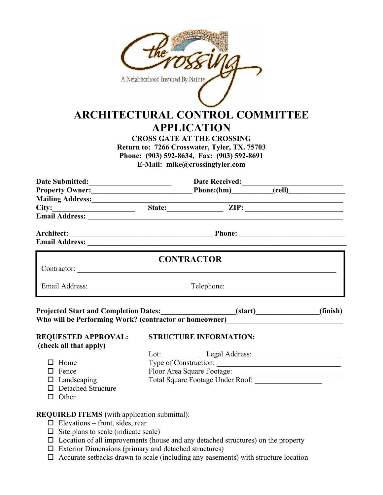|                                                                                               | A Neighborhood Inspired By Nature<br><b>ARCHITECTURAL CONTROL COMMITTEE</b><br><b>APPLICATION</b><br><b>CROSS GATE AT THE CROSSING</b><br>Return to: 7266 Crosswater, Tyler, TX. 75703<br>Phone: (903) 592-8634, Fax: (903) 592-8691<br>E-Mail: mike@crossingtyler.com |          |  |
|-----------------------------------------------------------------------------------------------|------------------------------------------------------------------------------------------------------------------------------------------------------------------------------------------------------------------------------------------------------------------------|----------|--|
|                                                                                               |                                                                                                                                                                                                                                                                        |          |  |
|                                                                                               |                                                                                                                                                                                                                                                                        |          |  |
| Mailing Address:________________                                                              |                                                                                                                                                                                                                                                                        |          |  |
|                                                                                               |                                                                                                                                                                                                                                                                        |          |  |
|                                                                                               |                                                                                                                                                                                                                                                                        |          |  |
|                                                                                               |                                                                                                                                                                                                                                                                        |          |  |
|                                                                                               | <b>CONTRACTOR</b><br>Contractor:                                                                                                                                                                                                                                       |          |  |
|                                                                                               | Email Address: Telephone: Telephone: Telephone: 2008.                                                                                                                                                                                                                  |          |  |
| <b>Projected Start and Completion Dates:</b>                                                  | (start)<br>Who will be Performing Work? (contractor or homeowner)__________________________                                                                                                                                                                            | (finish) |  |
| <b>REQUESTED APPROVAL:</b><br>(check all that apply)                                          | <b>STRUCTURE INFORMATION:</b>                                                                                                                                                                                                                                          |          |  |
|                                                                                               |                                                                                                                                                                                                                                                                        |          |  |
| $\Box$ Home                                                                                   | Type of Construction:                                                                                                                                                                                                                                                  |          |  |
| $\Box$ Fence<br>$\Box$ Landscaping                                                            |                                                                                                                                                                                                                                                                        |          |  |
| □ Detached Structure<br>$\Box$ Other                                                          |                                                                                                                                                                                                                                                                        |          |  |
| <b>REQUIRED ITEMS</b> (with application submittal):<br>$\Box$ Elevations – front, sides, rear |                                                                                                                                                                                                                                                                        |          |  |

- $\Box$  Site plans to scale (indicate scale)
- $\square$  Location of all improvements (house and any detached structures) on the property
- $\Box$  Exterior Dimensions (primary and detached structures)
- $\Box$  Accurate setbacks drawn to scale (including any easements) with structure location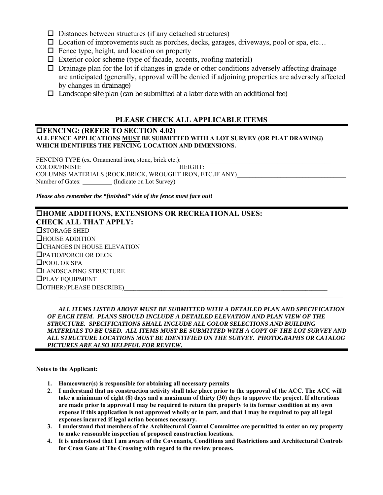- $\square$  Distances between structures (if any detached structures)
- $\square$  Location of improvements such as porches, decks, garages, driveways, pool or spa, etc...
- $\Box$  Fence type, height, and location on property
- $\Box$  Exterior color scheme (type of facade, accents, roofing material)
- $\Box$  Drainage plan for the lot if changes in grade or other conditions adversely affecting drainage are anticipated (generally, approval will be denied if adjoining properties are adversely affected by changes in drainage)
- $\Box$  Landscape site plan (can be submitted at a later date with an additional fee)

### **PLEASE CHECK ALL APPLICABLE ITEMS**

### **FENCING: (REFER TO SECTION 4.02) ALL FENCE APPLICATIONS MUST BE SUBMITTED WITH A LOT SURVEY (OR PLAT DRAWING) WHICH IDENTIFIES THE FENCING LOCATION AND DIMENSIONS.**

FENCING TYPE (ex. Ornamental iron, stone, brick etc.): COLOR/FINISH: HEIGHT: COLUMNS MATERIALS (ROCK,BRICK, WROUGHT IRON, ETC.IF ANY) Number of Gates: \_\_\_\_\_\_\_\_\_ (Indicate on Lot Survey)

*Please also remember the "finished" side of the fence must face out!* 

### **HOME ADDITIONS, EXTENSIONS OR RECREATIONAL USES: CHECK ALL THAT APPLY: OSTORAGE SHED** HOUSE ADDITION CHANGES IN HOUSE ELEVATION PATIO/PORCH OR DECK □POOL OR SPA LANDSCAPING STRUCTURE PLAY EQUIPMENT  $\Box$  OTHER:(PLEASE DESCRIBE)  $\mathcal{L}_\mathcal{L} = \mathcal{L}_\mathcal{L}$

 *ALL ITEMS LISTED ABOVE MUST BE SUBMITTED WITH A DETAILED PLAN AND SPECIFICATION OF EACH ITEM. PLANS SHOULD INCLUDE A DETAILED ELEVATION AND PLAN VIEW OF THE STRUCTURE. SPECIFICATIONS SHALL INCLUDE ALL COLOR SELECTIONS AND BUILDING MATERIALS TO BE USED. ALL ITEMS MUST BE SUBMITTED WITH A COPY OF THE LOT SURVEY AND ALL STRUCTURE LOCATIONS MUST BE IDENTIFIED ON THE SURVEY. PHOTOGRAPHS OR CATALOG PICTURES ARE ALSO HELPFUL FOR REVIEW.* 

**Notes to the Applicant:** 

- **1. Homeowner(s) is responsible for obtaining all necessary permits**
- **2. I understand that no construction activity shall take place prior to the approval of the ACC. The ACC will take a minimum of eight (8) days and a maximum of thirty (30) days to approve the project. If alterations are made prior to approval I may be required to return the property to its former condition at my own expense if this application is not approved wholly or in part, and that I may be required to pay all legal expenses incurred if legal action becomes necessary.**
- **3. I understand that members of the Architectural Control Committee are permitted to enter on my property to make reasonable inspection of proposed construction locations.**
- **4. It is understood that I am aware of the Covenants, Conditions and Restrictions and Architectural Controls for Cross Gate at The Crossing with regard to the review process.**